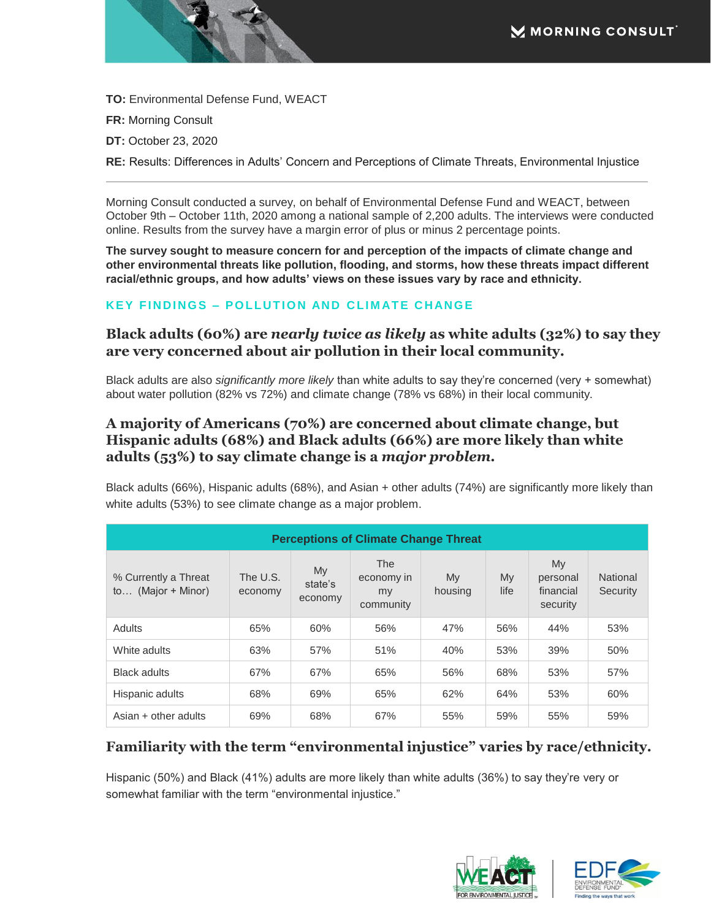**TO:** Environmental Defense Fund, WEACT

**FR:** Morning Consult

**DT:** October 23, 2020

**RE:** Results: Differences in Adults' Concern and Perceptions of Climate Threats, Environmental Injustice

Morning Consult conducted a survey, on behalf of Environmental Defense Fund and WEACT, between October 9th – October 11th, 2020 among a national sample of 2,200 adults. The interviews were conducted online. Results from the survey have a margin error of plus or minus 2 percentage points.

**The survey sought to measure concern for and perception of the impacts of climate change and other environmental threats like pollution, flooding, and storms, how these threats impact different racial/ethnic groups, and how adults' views on these issues vary by race and ethnicity.**

#### **KEY FINDINGS - POLLUTION AND CLIMATE CHANGE**

#### **Black adults (60%) are** *nearly twice as likely* **as white adults (32%) to say they are very concerned about air pollution in their local community.**

Black adults are also *significantly more likely* than white adults to say they're concerned (very + somewhat) about water pollution (82% vs 72%) and climate change (78% vs 68%) in their local community.

#### **A majority of Americans (70%) are concerned about climate change, but Hispanic adults (68%) and Black adults (66%) are more likely than white adults (53%) to say climate change is a** *major problem.*

Black adults (66%), Hispanic adults (68%), and Asian + other adults (74%) are significantly more likely than white adults (53%) to see climate change as a major problem.

| <b>Perceptions of Climate Change Threat</b>   |                     |                          |                                             |               |            |                                         |                             |  |
|-----------------------------------------------|---------------------|--------------------------|---------------------------------------------|---------------|------------|-----------------------------------------|-----------------------------|--|
| % Currently a Threat<br>(Major + Minor)<br>to | The U.S.<br>economy | My<br>state's<br>economy | <b>The</b><br>economy in<br>my<br>community | My<br>housing | My<br>life | Mv<br>personal<br>financial<br>security | <b>National</b><br>Security |  |
| Adults                                        | 65%                 | 60%                      | 56%                                         | 47%           | 56%        | 44%                                     | 53%                         |  |
| White adults                                  | 63%                 | 57%                      | 51%                                         | 40%           | 53%        | 39%                                     | 50%                         |  |
| <b>Black adults</b>                           | 67%                 | 67%                      | 65%                                         | 56%           | 68%        | 53%                                     | 57%                         |  |
| Hispanic adults                               | 68%                 | 69%                      | 65%                                         | 62%           | 64%        | 53%                                     | 60%                         |  |
| Asian + other adults                          | 69%                 | 68%                      | 67%                                         | 55%           | 59%        | 55%                                     | 59%                         |  |

#### **Familiarity with the term "environmental injustice" varies by race/ethnicity.**

Hispanic (50%) and Black (41%) adults are more likely than white adults (36%) to say they're very or somewhat familiar with the term "environmental injustice."

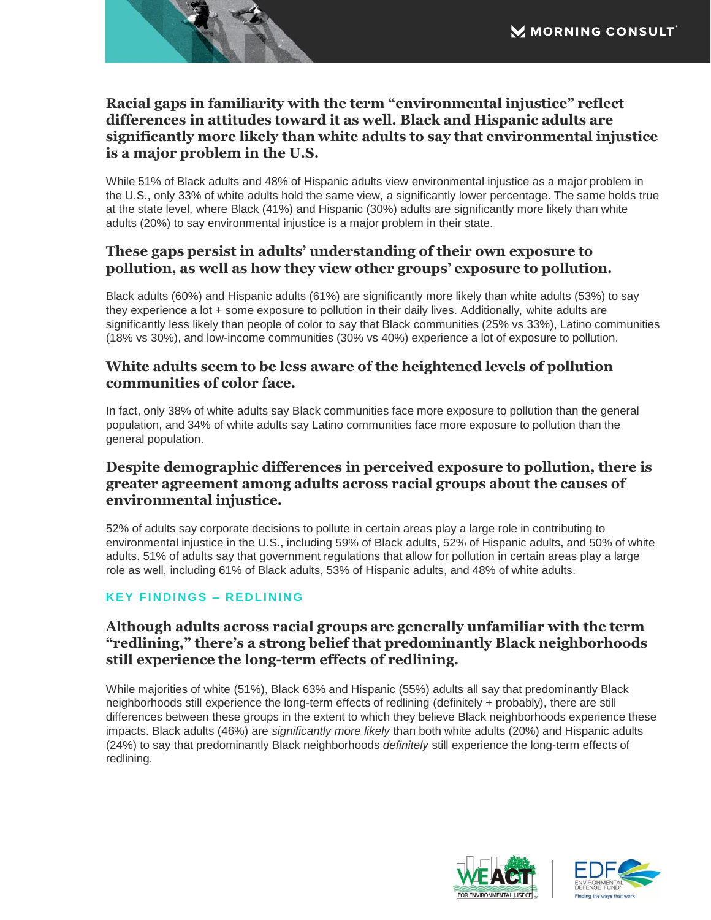# **Racial gaps in familiarity with the term "environmental injustice" reflect differences in attitudes toward it as well. Black and Hispanic adults are significantly more likely than white adults to say that environmental injustice is a major problem in the U.S.**

While 51% of Black adults and 48% of Hispanic adults view environmental injustice as a major problem in the U.S., only 33% of white adults hold the same view, a significantly lower percentage. The same holds true at the state level, where Black (41%) and Hispanic (30%) adults are significantly more likely than white adults (20%) to say environmental injustice is a major problem in their state.

### **These gaps persist in adults' understanding of their own exposure to pollution, as well as how they view other groups' exposure to pollution.**

Black adults (60%) and Hispanic adults (61%) are significantly more likely than white adults (53%) to say they experience a lot + some exposure to pollution in their daily lives. Additionally, white adults are significantly less likely than people of color to say that Black communities (25% vs 33%), Latino communities (18% vs 30%), and low-income communities (30% vs 40%) experience a lot of exposure to pollution.

# **White adults seem to be less aware of the heightened levels of pollution communities of color face.**

In fact, only 38% of white adults say Black communities face more exposure to pollution than the general population, and 34% of white adults say Latino communities face more exposure to pollution than the general population.

## **Despite demographic differences in perceived exposure to pollution, there is greater agreement among adults across racial groups about the causes of environmental injustice.**

52% of adults say corporate decisions to pollute in certain areas play a large role in contributing to environmental injustice in the U.S., including 59% of Black adults, 52% of Hispanic adults, and 50% of white adults. 51% of adults say that government regulations that allow for pollution in certain areas play a large role as well, including 61% of Black adults, 53% of Hispanic adults, and 48% of white adults.

#### **KEY FINDINGS – REDLINING**

# **Although adults across racial groups are generally unfamiliar with the term "redlining," there's a strong belief that predominantly Black neighborhoods still experience the long-term effects of redlining.**

While majorities of white (51%), Black 63% and Hispanic (55%) adults all say that predominantly Black neighborhoods still experience the long-term effects of redlining (definitely + probably), there are still differences between these groups in the extent to which they believe Black neighborhoods experience these impacts. Black adults (46%) are *significantly more likely* than both white adults (20%) and Hispanic adults (24%) to say that predominantly Black neighborhoods *definitely* still experience the long-term effects of redlining.